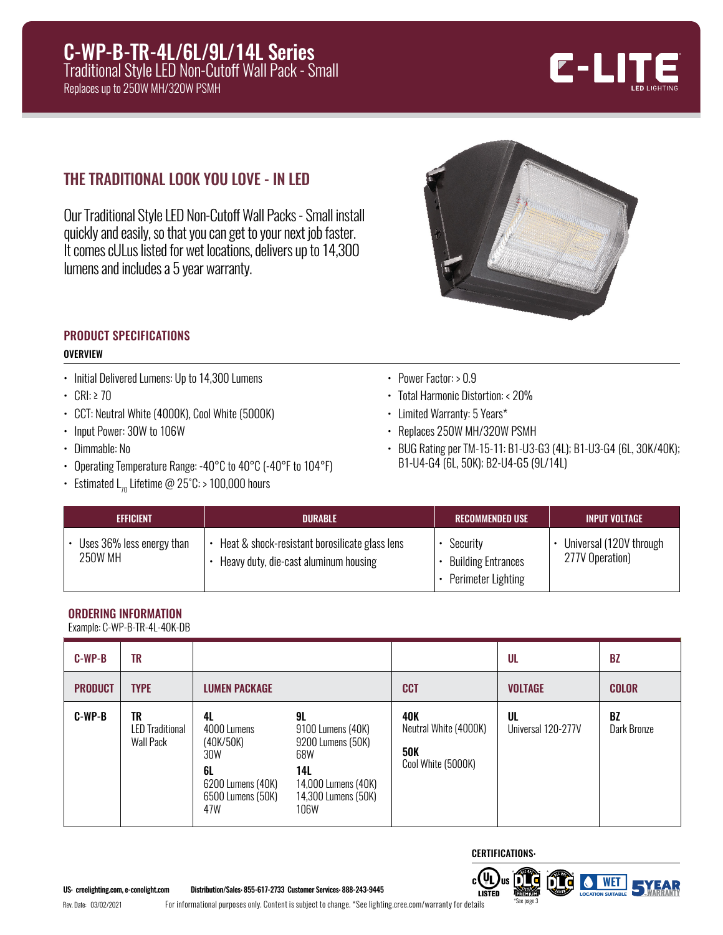

# THE TRADITIONAL LOOK YOU LOVE - IN LED

Our Traditional Style LED Non-Cutoff Wall Packs - Small install quickly and easily, so that you can get to your next job faster. It comes cULus listed for wet locations, delivers up to 14,300 lumens and includes a 5 year warranty.



# PRODUCT SPECIFICATIONS

#### **OVERVIEW**

- Initial Delivered Lumens: Up to 14,300 Lumens
- CRI:  $\geq 70$
- CCT: Neutral White (4000K), Cool White (5000K)
- Input Power: 30W to 106W
- Dimmable: No
- Operating Temperature Range: -40°C to 40°C (-40°F to 104°F)
- Estimated  $L_{70}$  Lifetime @ 25°C: > 100,000 hours
- Power Factor: > 0.9
- Total Harmonic Distortion: < 20%
- Limited Warranty: 5 Years\*
- Replaces 250W MH/320W PSMH
- BUG Rating per TM-15-11: B1-U3-G3 (4L); B1-U3-G4 (6L, 30K/40K); B1-U4-G4 (6L, 50K); B2-U4-G5 (9L/14L)

| <b>EFFICIENT</b>                       | <b>DURABLE</b>                                                                          | <b>RECOMMENDED USE</b>                                      | LINPUT VOLTAGE '                           |
|----------------------------------------|-----------------------------------------------------------------------------------------|-------------------------------------------------------------|--------------------------------------------|
| • Uses 36% less energy than<br>250W MH | Heat & shock-resistant borosilicate glass lens<br>Heavy duty, die-cast aluminum housing | Security<br><b>Building Entrances</b><br>Perimeter Lighting | Universal (120V through<br>277V Operation) |

## ORDERING INFORMATION

Example: C-WP-B-TR-4L-40K-DB

| $C-WP-B$       | TR                                                      |                                                                                              |                                                                                                                  |                                                                  | UL                       | <b>BZ</b>                |
|----------------|---------------------------------------------------------|----------------------------------------------------------------------------------------------|------------------------------------------------------------------------------------------------------------------|------------------------------------------------------------------|--------------------------|--------------------------|
| <b>PRODUCT</b> | <b>TYPE</b>                                             | <b>LUMEN PACKAGE</b>                                                                         |                                                                                                                  | <b>CCT</b>                                                       | <b>VOLTAGE</b>           | <b>COLOR</b>             |
| $C-WP-B$       | <b>TR</b><br><b>LED Traditional</b><br><b>Wall Pack</b> | 4L<br>4000 Lumens<br>(40K/50K)<br>30W<br>6L<br>6200 Lumens (40K)<br>6500 Lumens (50K)<br>47W | 9L<br>9100 Lumens (40K)<br>9200 Lumens (50K)<br>68W<br>14L<br>14,000 Lumens (40K)<br>14,300 Lumens (50K)<br>106W | 40K<br>Neutral White (4000K)<br><b>50K</b><br>Cool White (5000K) | UL<br>Universal 120-277V | <b>BZ</b><br>Dark Bronze |



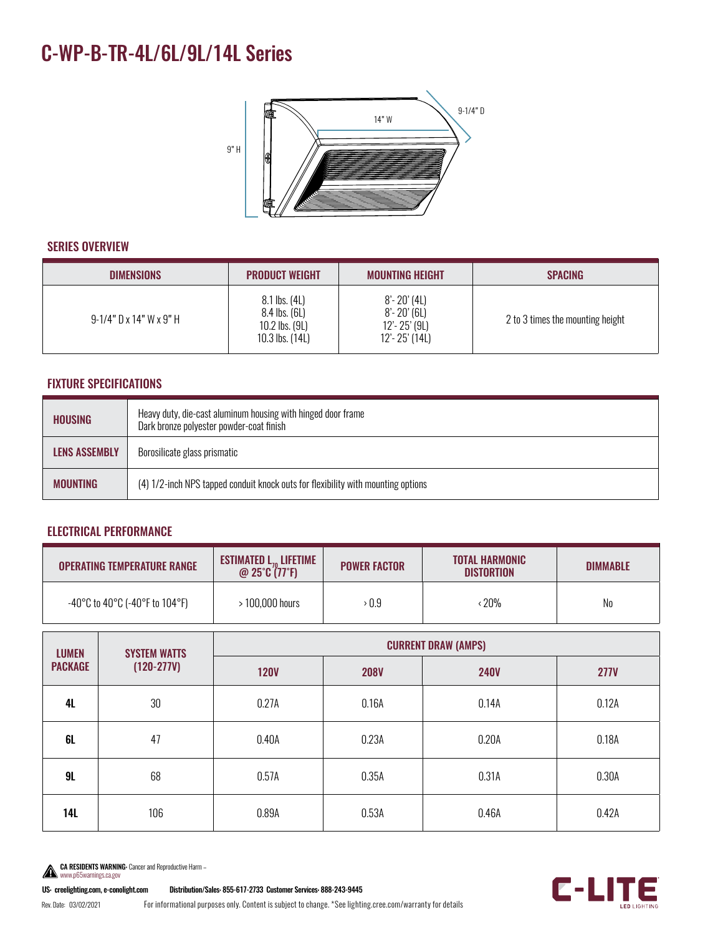# C-WP-B-TR-4L/6L/9L/14L Series



#### SERIES OVERVIEW

| <b>DIMENSIONS</b>             | <b>PRODUCT WEIGHT</b>                                               | <b>MOUNTING HEIGHT</b>                                                      | <b>SPACING</b>                   |
|-------------------------------|---------------------------------------------------------------------|-----------------------------------------------------------------------------|----------------------------------|
| $9-1/4$ " D x 14" W x $9$ " H | 8.1 lbs. (4L)<br>8.4 lbs. (6L)<br>10.2 lbs. (9L)<br>10.3 lbs. (14L) | $8'$ - 20' (4L)<br>$8'$ - 20' (6L)<br>$12' - 25'$ (9L)<br>$12' - 25'$ (14L) | 2 to 3 times the mounting height |

## FIXTURE SPECIFICATIONS

| <b>HOUSING</b>       | Heavy duty, die-cast aluminum housing with hinged door frame<br>Dark bronze polyester powder-coat finish |  |
|----------------------|----------------------------------------------------------------------------------------------------------|--|
| <b>LENS ASSEMBLY</b> | Borosilicate glass prismatic                                                                             |  |
| <b>MOUNTING</b>      | (4) 1/2-inch NPS tapped conduit knock outs for flexibility with mounting options                         |  |

### ELECTRICAL PERFORMANCE

| <b>OPERATING TEMPERATURE RANGE</b>                                        | <b>ESTIMATED <math>L_{70}</math> LIFETIME</b><br>@ $25^{\circ}C(77^{\circ}F)$ | <b>POWER FACTOR</b> | <b>TOTAL HARMONIC</b><br><b>DISTORTION</b> | <b>DIMMABLE</b> |
|---------------------------------------------------------------------------|-------------------------------------------------------------------------------|---------------------|--------------------------------------------|-----------------|
| $-40^{\circ}$ C to 40 $^{\circ}$ C (-40 $^{\circ}$ F to 104 $^{\circ}$ F) | > 100.000 hours                                                               | > 0.9               | <b>20%</b>                                 | No              |

| <b>LUMEN</b><br><b>PACKAGE</b> | <b>SYSTEM WATTS</b><br>$(120-277V)$ | <b>CURRENT DRAW (AMPS)</b> |             |             |             |  |
|--------------------------------|-------------------------------------|----------------------------|-------------|-------------|-------------|--|
|                                |                                     | <b>120V</b>                | <b>208V</b> | <b>240V</b> | <b>277V</b> |  |
| <b>4L</b>                      | 30                                  | 0.27A                      | 0.16A       | 0.14A       | 0.12A       |  |
| 6L                             | 47                                  | 0.40A                      | 0.23A       | 0.20A       | 0.18A       |  |
| 9L                             | 68                                  | 0.57A                      | 0.35A       | 0.31A       | 0.30A       |  |
| 14L                            | 106                                 | 0.89A                      | 0.53A       | 0.46A       | 0.42A       |  |



US: creelighting.com, e-conolight.com Distribution/Sales: 855-617-2733 Customer Services: 888-243-9445